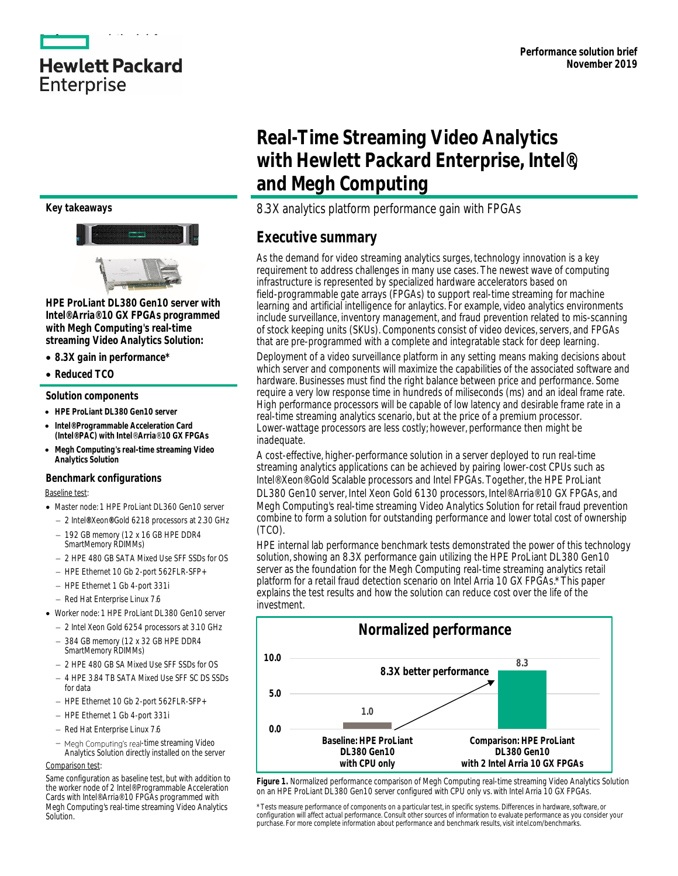### **Key takeaways**



**HPE ProLiant DL380 Gen10 server with Intel® Arria® 10 GX FPGAs programmed with Megh Computing's real-time streaming Video Analytics Solution:**

- **8.3X gain in performance\***
- **Reduced TCO**

#### **Solution components**

- **HPE ProLiant DL380 Gen10 server**
- **Intel® Programmable Acceleration Card (Intel® PAC) with Intel**® **Arria**® **10 GX FPGAs**
- **Megh Computing's real-time streaming Video Analytics Solution**

#### **Benchmark configurations** Baseline test:

- Master node: 1 HPE ProLiant DL360 Gen10 server
- 2 Intel**®** Xeon**®** Gold 6218 processors at 2.30 GHz
- $-192$  GB memory (12 x 16 GB HPE DDR4 SmartMemory RDIMMs)
- 2 HPE 480 GB SATA Mixed Use SFF SSDs for OS
- HPE Ethernet 10 Gb 2-port 562FLR-SFP+
- HPE Ethernet 1 Gb 4-port 331i
- Red Hat Enterprise Linux 7.6
- Worker node: 1 HPE ProLiant DL380 Gen10 server
	- 2 Intel Xeon Gold 6254 processors at 3.10 GHz
	- 384 GB memory (12 x 32 GB HPE DDR4 SmartMemory RDIMMs)
	- 2 HPE 480 GB SA Mixed Use SFF SSDs for OS
	- 4 HPF 3.84 TB SATA Mixed Use SFF SC DS SSDs for data
	- HPE Ethernet 10 Gb 2-port 562FLR-SFP+
	- HPE Ethernet 1 Gb 4-port 331i
	- Red Hat Enterprise Linux 7.6
	- Megh Computing's real-time streaming Video Analytics Solution directly installed on the server

#### Comparison test:

# **Real-Time Streaming Video Analytics with Hewlett Packard Enterprise, Intel®, and Megh Computing**

### 8.3X analytics platform performance gain with FPGAs

### **Executive summary**

As the demand for video streaming analytics surges, technology innovation is a key requirement to address challenges in many use cases. The newest wave of computing infrastructure is represented by specialized hardware accelerators based on field-programmable gate arrays (FPGAs) to support real-time streaming for machine learning and artificial intelligence for anlaytics. For example, video analytics environments include surveillance, inventory management, and fraud prevention related to mis-scanning of stock keeping units (SKUs). Components consist of video devices, servers, and FPGAs that are pre-programmed with a complete and integratable stack for deep learning.

Deployment of a video surveillance platform in any setting means making decisions about which server and components will maximize the capabilities of the associated software and hardware. Businesses must find the right balance between price and performance. Some require a very low response time in hundreds of miliseconds (ms) and an ideal frame rate. High performance processors will be capable of low latency and desirable frame rate in a real-time streaming analytics scenario, but at the price of a premium processor. Lower-wattage processors are less costly; however, performance then might be inadequate.

A cost-effective, higher-performance solution in a server deployed to run real-time streaming analytics applications can be achieved by pairing lower-cost CPUs such as Intel® Xeon® Gold Scalable processors and Intel FPGAs. Together, the [HPE ProLiant](https://www.hpe.com/servers/dl380-gen10)  [DL380 Gen10](https://www.hpe.com/servers/dl380-gen10) server, Intel Xeon Gold 6130 processors, Intel® Arria® 10 GX FPGAs, and Megh Computing's real-time streaming Video Analytics Solution for retail fraud prevention combine to form a solution for outstanding performance and lower total cost of ownership (TCO).

HPE internal lab performance benchmark tests demonstrated the power of this technology solution, showing an 8.3X performance gain utilizing the HPE ProLiant DL380 Gen10 server as the foundation for the Megh Computing real-time streaming analytics retail platform for a retail fraud detection scenario on Intel Arria 10 GX FPGAs.\* This paper explains the test results and how the solution can reduce cost over the life of the investment.



**Figure 1.** Normalized performance comparison of Megh Computing real-time streaming Video Analytics Solution on an HPE ProLiant DL380 Gen10 server configured with CPU only vs. with Intel Arria 10 GX FPGAs.

Same configuration as baseline test, but with addition to the worker node of 2 Intel® Programmable Acceleration Cards with Intel® Arria® 10 FPGAs programmed with Megh Computing's real-time streaming Video Analytics Solution.

<sup>\*</sup> Tests measure performance of components on a particular test, in specific systems. Differences in hardware, software, or<br>configuration will affect actual performance. Consult other sources of information to evaluate perf purchase. For more complete information about performance and benchmark results, visit intel.com/benchmarks.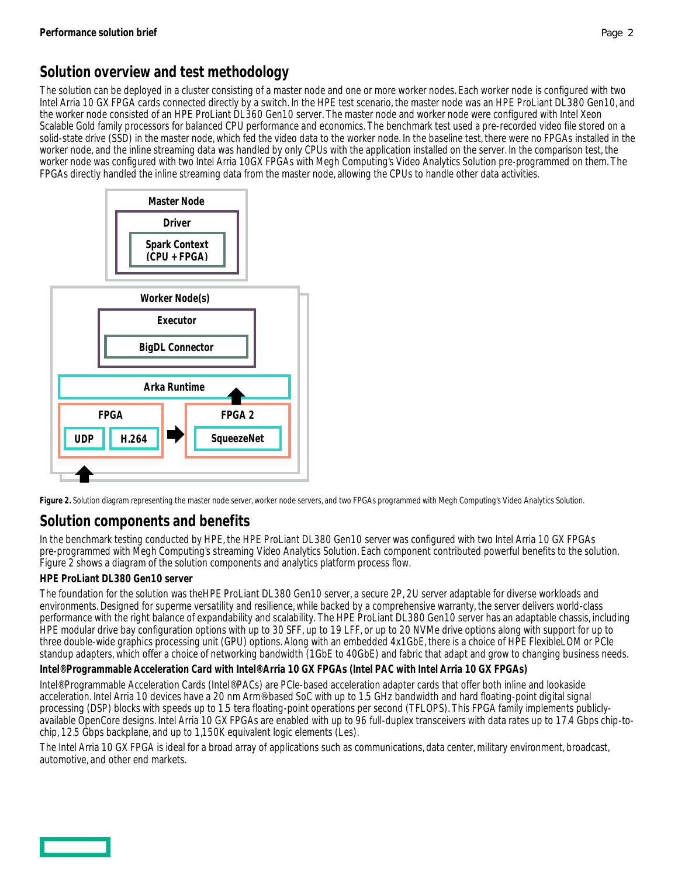# **Solution overview and test methodology**

The solution can be deployed in a cluster consisting of a master node and one or more worker nodes. Each worker node is configured with two Intel Arria 10 GX FPGA cards connected directly by a switch. In the HPE test scenario, the master node was an HPE ProLiant DL380 Gen10, and the worker node consisted of an HPE ProLiant DL360 Gen10 server. The master node and worker node were configured with Intel Xeon Scalable Gold family processors for balanced CPU performance and economics. The benchmark test used a pre-recorded video file stored on a solid-state drive (SSD) in the master node, which fed the video data to the worker node. In the baseline test, there were no FPGAs installed in the worker node, and the inline streaming data was handled by only CPUs with the application installed on the server. In the comparison test, the worker node was configured with two Intel Arria 10GX FPGAs with Megh Computing's Video Analytics Solution pre-programmed on them. The FPGAs directly handled the inline streaming data from the master node, allowing the CPUs to handle other data activities.



**Figure 2.** Solution diagram representing the master node server, worker node servers, and two FPGAs programmed with Megh Computing's Video Analytics Solution.

# **Solution components and benefits**

In the benchmark testing conducted by HPE, the HPE ProLiant DL380 Gen10 server was configured with two Intel Arria 10 GX FPGAs pre-programmed with Megh Computing's streaming Video Analytics Solution. Each component contributed powerful benefits to the solution. Figure 2 shows a diagram of the solution components and analytics platform process flow.

### **HPE ProLiant DL380 Gen10 server**

The foundation for the solution was theHPE ProLiant DL380 Gen10 server, a secure 2P, 2U server adaptable for diverse workloads and environments. Designed for superme versatility and resilience, while backed by a comprehensive warranty, the server delivers world-class performance with the right balance of expandability and scalability. The HPE ProLiant DL380 Gen10 server has an adaptable chassis, including HPE modular drive bay configuration options with up to 30 SFF, up to 19 LFF, or up to 20 NVMe drive options along with support for up to three double-wide graphics processing unit (GPU) options. Along with an embedded 4x1GbE, there is a choice of HPE FlexibleLOM or PCIe standup adapters, which offer a choice of networking bandwidth (1GbE to 40GbE) and fabric that adapt and grow to changing business needs. **Intel® Programmable Acceleration Card with Intel® Arria 10 GX FPGAs (Intel PAC with Intel Arria 10 GX FPGAs)**

Intel® Programmable Acceleration Cards (Intel® PACs) are PCIe-based acceleration adapter cards that offer both inline and lookaside acceleration. Intel Arria 10 devices have a 20 nm Arm®-based SoC with up to 1.5 GHz bandwidth and hard floating-point digital signal processing (DSP) blocks with speeds up to 1.5 tera floating-point operations per second (TFLOPS). This FPGA family implements publiclyavailable OpenCore designs. Intel Arria 10 GX FPGAs are enabled with up to 96 full-duplex transceivers with data rates up to 17.4 Gbps chip-tochip, 12.5 Gbps backplane, and up to 1,150K equivalent logic elements (Les).

The Intel Arria 10 GX FPGA is ideal for a broad array of applications such as communications, data center, military environment, broadcast, automotive, and other end markets.